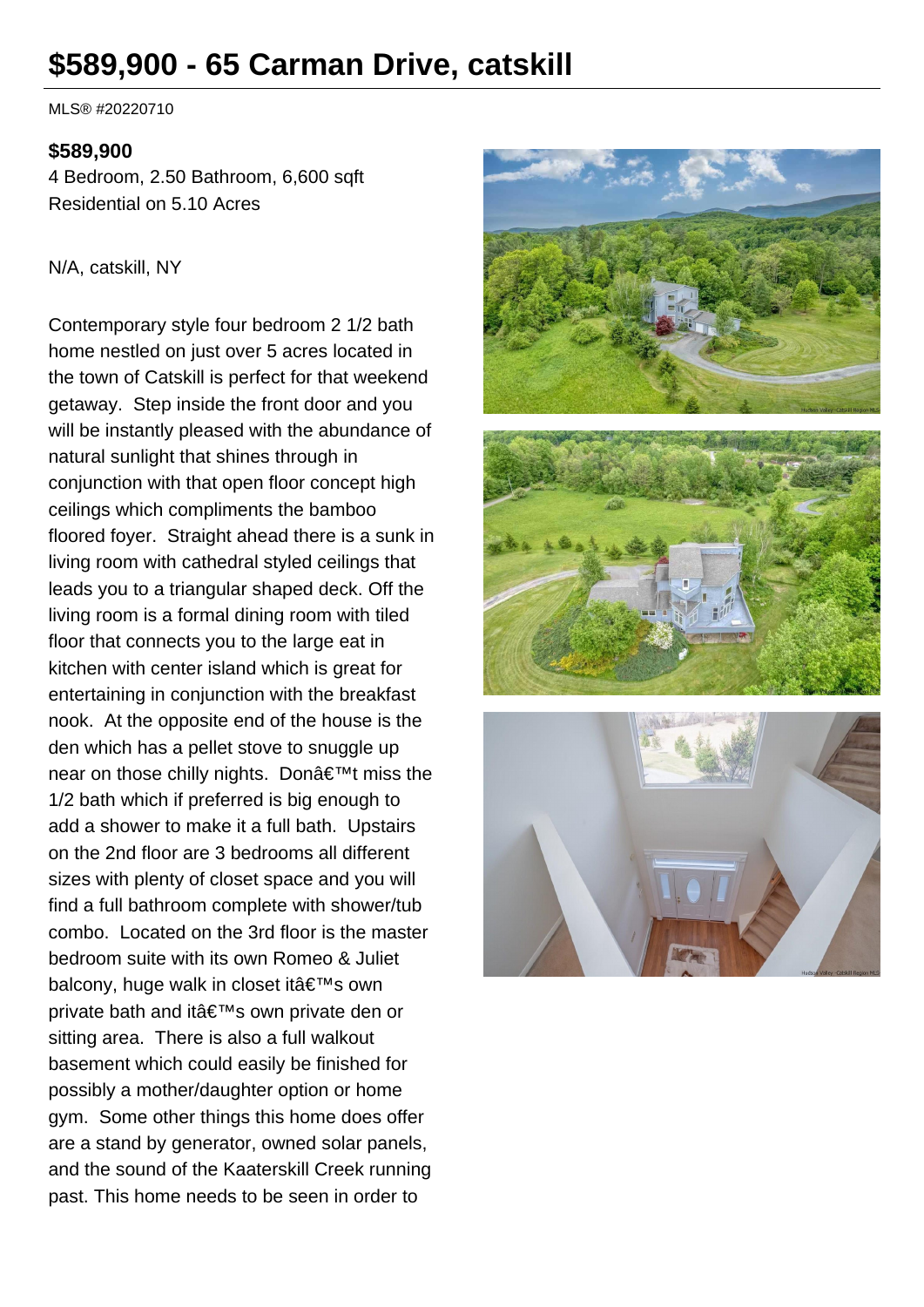# **\$589,900 - 65 Carman Drive, catskill**

MLS® #20220710

#### **\$589,900**

4 Bedroom, 2.50 Bathroom, 6,600 sqft Residential on 5.10 Acres

#### N/A, catskill, NY

Contemporary style four bedroom 2 1/2 bath home nestled on just over 5 acres located in the town of Catskill is perfect for that weekend getaway. Step inside the front door and you will be instantly pleased with the abundance of natural sunlight that shines through in conjunction with that open floor concept high ceilings which compliments the bamboo floored foyer. Straight ahead there is a sunk in living room with cathedral styled ceilings that leads you to a triangular shaped deck. Off the living room is a formal dining room with tiled floor that connects you to the large eat in kitchen with center island which is great for entertaining in conjunction with the breakfast nook. At the opposite end of the house is the den which has a pellet stove to snuggle up near on those chilly nights. Don $\hat{a} \in \mathbb{T}^M$ t miss the 1/2 bath which if preferred is big enough to add a shower to make it a full bath. Upstairs on the 2nd floor are 3 bedrooms all different sizes with plenty of closet space and you will find a full bathroom complete with shower/tub combo. Located on the 3rd floor is the master bedroom suite with its own Romeo & Juliet balcony, huge walk in closet it's own private bath and it's own private den or sitting area. There is also a full walkout basement which could easily be finished for possibly a mother/daughter option or home gym. Some other things this home does offer are a stand by generator, owned solar panels, and the sound of the Kaaterskill Creek running past. This home needs to be seen in order to

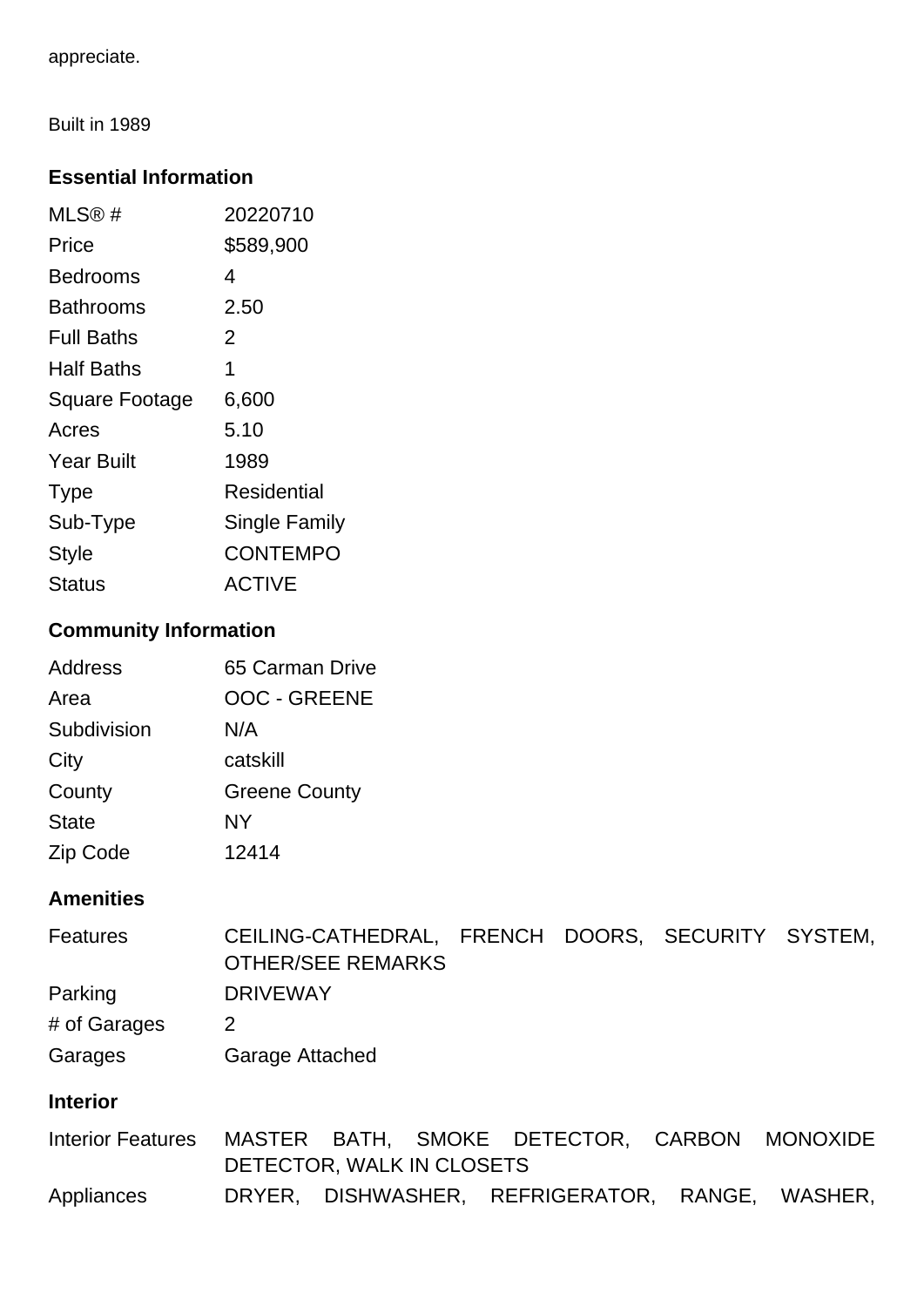appreciate.

Built in 1989

### **Essential Information**

| MLS@#                 | 20220710        |
|-----------------------|-----------------|
| Price                 | \$589,900       |
| Bedrooms              | 4               |
| Bathrooms             | 2.50            |
| Full Baths            | 2               |
| Half Baths            | 1               |
| <b>Square Footage</b> | 6,600           |
| Acres                 | 5.10            |
| <b>Year Built</b>     | 1989            |
| <b>Type</b>           | Residential     |
| Sub-Type              | Single Family   |
| <b>Style</b>          | <b>CONTEMPO</b> |
| Status                | <b>ACTIVE</b>   |

# **Community Information**

| Address      | 65 Carman Drive      |
|--------------|----------------------|
| Area         | <b>OOC - GREENE</b>  |
| Subdivision  | N/A                  |
| City         | catskill             |
| County       | <b>Greene County</b> |
| <b>State</b> | NY                   |
| Zip Code     | 12414                |

# **Amenities**

| <b>Features</b>          | <b>OTHER/SEE REMARKS</b> |       |  |                        | CEILING-CATHEDRAL, FRENCH DOORS, SECURITY SYSTEM, |
|--------------------------|--------------------------|-------|--|------------------------|---------------------------------------------------|
| Parking                  | <b>DRIVEWAY</b>          |       |  |                        |                                                   |
| # of Garages             | 2                        |       |  |                        |                                                   |
| Garages                  | Garage Attached          |       |  |                        |                                                   |
| <b>Interior</b>          |                          |       |  |                        |                                                   |
| <b>Interior Features</b> | MASTER                   | BATH. |  | SMOKE DETECTOR, CARBON | <b>MONOXIDE</b>                                   |

DETECTOR, WALK IN CLOSETS Appliances DRYER, DISHWASHER, REFRIGERATOR, RANGE, WASHER,